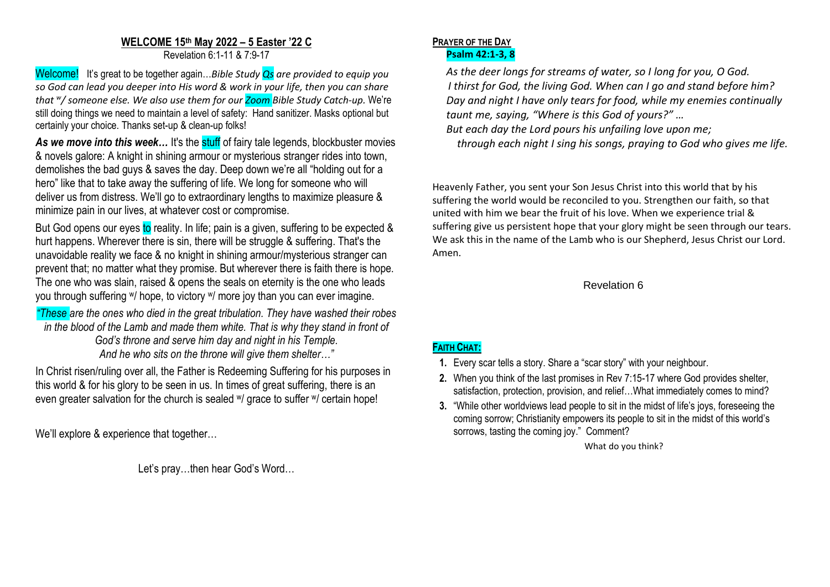# **WELCOME 15th May 2022 – 5 Easter '22 C**

Revelation 6:1-11 & 7:9-17

Welcome! It's great to be together again…*Bible Study Qs are provided to equip you so God can lead you deeper into His word & work in your life, then you can share that <sup>w</sup> / someone else. We also use them for our Zoom Bible Study Catch-up.* We're still doing things we need to maintain a level of safety: Hand sanitizer. Masks optional but certainly your choice. Thanks set-up & clean-up folks!

As we move into this week... It's the stuff of fairy tale legends, blockbuster movies & novels galore: A knight in shining armour or mysterious stranger rides into town, demolishes the bad guys & saves the day. Deep down we're all "holding out for a hero" like that to take away the suffering of life. We long for someone who will deliver us from distress. We'll go to extraordinary lengths to maximize pleasure & minimize pain in our lives, at whatever cost or compromise.

But God opens our eyes to reality. In life; pain is a given, suffering to be expected & hurt happens. Wherever there is sin, there will be struggle & suffering. That's the unavoidable reality we face & no knight in shining armour/mysterious stranger can prevent that; no matter what they promise. But wherever there is faith there is hope. The one who was slain, raised & opens the seals on eternity is the one who leads you through suffering w/ hope, to victory w/ more joy than you can ever imagine.

*"These are the ones who died in the great tribulation. They have washed their robes in the blood of the Lamb and made them white. That is why they stand in front of God's throne and serve him day and night in his Temple. And he who sits on the throne will give them shelter…"*

In Christ risen/ruling over all, the Father is Redeeming Suffering for his purposes in this world & for his glory to be seen in us. In times of great suffering, there is an even greater salvation for the church is sealed w/ grace to suffer w/ certain hope!

We'll explore & experience that together…

Let's pray…then hear God's Word…

#### **PRAYER OF THE DAY Psalm 42:1-3, 8**

*As the deer longs for streams of water, so I long for you, O God. I thirst for God, the living God. When can I go and stand before him? Day and night I have only tears for food, while my enemies continually taunt me, saying, "Where is this God of yours?" …*

*But each day the Lord pours his unfailing love upon me;*

 *through each night I sing his songs, praying to God who gives me life.*

Heavenly Father, you sent your Son Jesus Christ into this world that by his suffering the world would be reconciled to you. Strengthen our faith, so that united with him we bear the fruit of his love. When we experience trial & suffering give us persistent hope that your glory might be seen through our tears. We ask this in the name of the Lamb who is our Shepherd, Jesus Christ our Lord. Amen.

### Revelation 6

## **FAITH CHAT:**

- **1.** Every scar tells a story. Share a "scar story" with your neighbour.
- **2.** When you think of the last promises in Rev 7:15-17 where God provides shelter, satisfaction, protection, provision, and relief…What immediately comes to mind?
- **3.** "While other worldviews lead people to sit in the midst of life's joys, foreseeing the coming sorrow; Christianity empowers its people to sit in the midst of this world's sorrows, tasting the coming joy." Comment?

What do you think?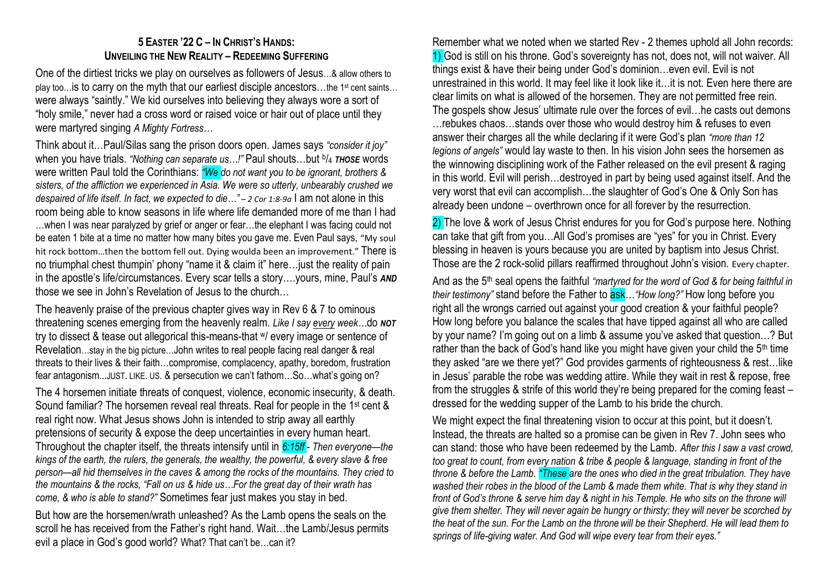## **5 EASTER '22 C – IN CHRIST'S HANDS: UNVEILING THE NEW REALITY – REDEEMING SUFFERING**

One of the dirtiest tricks we play on ourselves as followers of Jesus…& allow others to play too… is to carry on the myth that our earliest disciple ancestors…the 1<sup>st</sup> cent saints... were always "saintly." We kid ourselves into believing they always wore a sort of "holy smile," never had a cross word or raised voice or hair out of place until they were martyred singing *A Mighty Fortress*…

Think about it…Paul/Silas sang the prison doors open. James says *"consider it joy"* when you have trials. "Nothing can separate us...!" Paul shouts...but <sup>b</sup>/4 тноsе words were written Paul told the Corinthians: *"We do not want you to be ignorant, brothers & sisters, of the affliction we experienced in Asia. We were so utterly, unbearably crushed we despaired of life itself. In fact, we expected to die…" – 2 Cor 1:8-9a* I am not alone in this room being able to know seasons in life where life demanded more of me than I had …when I was near paralyzed by grief or anger or fear…the elephant I was facing could not be eaten 1 bite at a time no matter how many bites you gave me. Even Paul says, "My soul hit rock bottom…then the bottom fell out. Dying woulda been an improvement." There is no triumphal chest thumpin' phony "name it & claim it" here…just the reality of pain in the apostle's life/circumstances. Every scar tells a story….yours, mine, Paul's *AND* those we see in John's Revelation of Jesus to the church…

The heavenly praise of the previous chapter gives way in Rev 6 & 7 to ominous threatening scenes emerging from the heavenly realm. *Like I say every week…*do *NOT* try to dissect & tease out allegorical this-means-that <sup>w</sup>/ every image or sentence of Revelation…stay in the big picture…John writes to real people facing real danger & real threats to their lives & their faith…compromise, complacency, apathy, boredom, frustration fear antagonism...JUST. LIKE. US. & persecution we can't fathom…So…what's going on?

The 4 horsemen initiate threats of conquest, violence, economic insecurity, & death. Sound familiar? The horsemen reveal real threats. Real for people in the 1<sup>st</sup> cent & real right now. What Jesus shows John is intended to strip away all earthly pretensions of security & expose the deep uncertainties in every human heart. Throughout the chapter itself, the threats intensify until in *6:15ff - Then everyone—the kings of the earth, the rulers, the generals, the wealthy, the powerful, & every slave & free person—all hid themselves in the caves & among the rocks of the mountains. They cried to the mountains & the rocks, "Fall on us & hide us…For the great day of their wrath has come, & who is able to stand?"* Sometimes fear just makes you stay in bed.

But how are the horsemen/wrath unleashed? As the Lamb opens the seals on the scroll he has received from the Father's right hand. Wait…the Lamb/Jesus permits evil a place in God's good world? What? That can't be…can it?

Remember what we noted when we started Rev - 2 themes uphold all John records: 1) God is still on his throne. God's sovereignty has not, does not, will not waiver. All things exist & have their being under God's dominion…even evil. Evil is not unrestrained in this world. It may feel like it look like it…it is not. Even here there are clear limits on what is allowed of the horsemen. They are not permitted free rein. The gospels show Jesus' ultimate rule over the forces of evil…he casts out demons …rebukes chaos…stands over those who would destroy him & refuses to even answer their charges all the while declaring if it were God's plan *"more than 12 legions of angels"* would lay waste to then. In his vision John sees the horsemen as the winnowing disciplining work of the Father released on the evil present & raging in this world. Evil will perish…destroyed in part by being used against itself. And the very worst that evil can accomplish…the slaughter of God's One & Only Son has already been undone – overthrown once for all forever by the resurrection.

2) The love & work of Jesus Christ endures for you for God's purpose here. Nothing can take that gift from you…All God's promises are "yes" for you in Christ. Every blessing in heaven is yours because you are united by baptism into Jesus Christ. Those are the 2 rock-solid pillars reaffirmed throughout John's vision. Every chapter.

And as the 5th seal opens the faithful *"martyred for the word of God & for being faithful in their testimony"* stand before the Father to ask…*"How long?"* How long before you right all the wrongs carried out against your good creation & your faithful people? How long before you balance the scales that have tipped against all who are called by your name? I'm going out on a limb & assume you've asked that question…? But rather than the back of God's hand like you might have given your child the  $5<sup>th</sup>$  time they asked "are we there yet?" God provides garments of righteousness & rest…like in Jesus' parable the robe was wedding attire. While they wait in rest & repose, free from the struggles & strife of this world they're being prepared for the coming feast – dressed for the wedding supper of the Lamb to his bride the church.

We might expect the final threatening vision to occur at this point, but it doesn't. Instead, the threats are halted so a promise can be given in Rev 7. John sees who can stand: those who have been redeemed by the Lamb. *After this I saw a vast crowd, too great to count, from every nation & tribe & people & language, standing in front of the throne & before the Lamb. "These are the ones who died in the great tribulation. They have washed their robes in the blood of the Lamb & made them white. That is why they stand in front of God's throne & serve him day & night in his Temple. He who sits on the throne will give them shelter. They will never again be hungry or thirsty; they will never be scorched by the heat of the sun. For the Lamb on the thronewill be their Shepherd. He will lead them to springs of life-giving water. And God will wipe every tear from their eyes."*